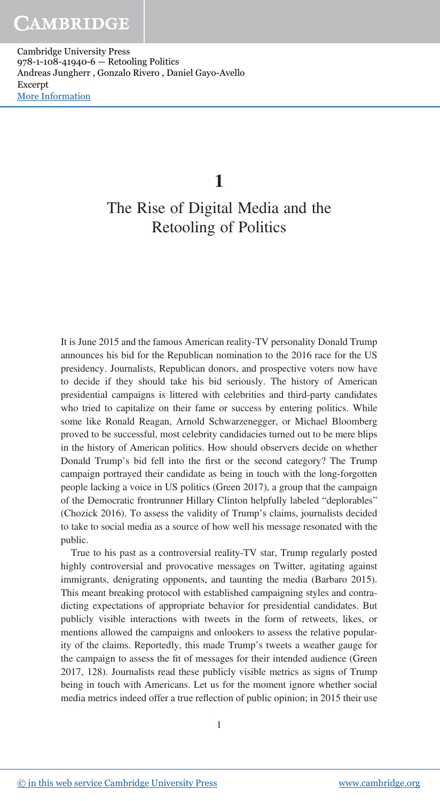**1**

## The Rise of Digital Media and the Retooling of Politics

It is June 2015 and the famous American reality-TV personality Donald Trump announces his bid for the Republican nomination to the 2016 race for the US presidency. Journalists, Republican donors, and prospective voters now have to decide if they should take his bid seriously. The history of American presidential campaigns is littered with celebrities and third-party candidates who tried to capitalize on their fame or success by entering politics. While some like Ronald Reagan, Arnold Schwarzenegger, or Michael Bloomberg proved to be successful, most celebrity candidacies turned out to be mere blips in the history of American politics. How should observers decide on whether Donald Trump's bid fell into the first or the second category? The Trump campaign portrayed their candidate as being in touch with the long-forgotten people lacking a voice in US politics (Green 2017), a group that the campaign of the Democratic frontrunner Hillary Clinton helpfully labeled "deplorables" (Chozick 2016). To assess the validity of Trump's claims, journalists decided to take to social media as a source of how well his message resonated with the public.

True to his past as a controversial reality-TV star, Trump regularly posted highly controversial and provocative messages on Twitter, agitating against immigrants, denigrating opponents, and taunting the media (Barbaro 2015). This meant breaking protocol with established campaigning styles and contradicting expectations of appropriate behavior for presidential candidates. But publicly visible interactions with tweets in the form of retweets, likes, or mentions allowed the campaigns and onlookers to assess the relative popularity of the claims. Reportedly, this made Trump's tweets a weather gauge for the campaign to assess the fit of messages for their intended audience (Green 2017, 128). Journalists read these publicly visible metrics as signs of Trump being in touch with Americans. Let us for the moment ignore whether social media metrics indeed offer a true reflection of public opinion; in 2015 their use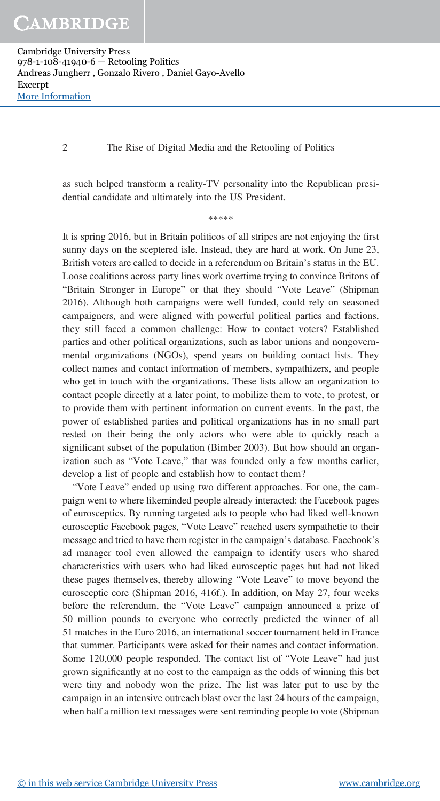2 The Rise of Digital Media and the Retooling of Politics

as such helped transform a reality-TV personality into the Republican presidential candidate and ultimately into the US President.

\*\*\*\*\*

It is spring 2016, but in Britain politicos of all stripes are not enjoying the first sunny days on the sceptered isle. Instead, they are hard at work. On June 23, British voters are called to decide in a referendum on Britain's status in the EU. Loose coalitions across party lines work overtime trying to convince Britons of "Britain Stronger in Europe" or that they should "Vote Leave" (Shipman 2016). Although both campaigns were well funded, could rely on seasoned campaigners, and were aligned with powerful political parties and factions, they still faced a common challenge: How to contact voters? Established parties and other political organizations, such as labor unions and nongovernmental organizations (NGOs), spend years on building contact lists. They collect names and contact information of members, sympathizers, and people who get in touch with the organizations. These lists allow an organization to contact people directly at a later point, to mobilize them to vote, to protest, or to provide them with pertinent information on current events. In the past, the power of established parties and political organizations has in no small part rested on their being the only actors who were able to quickly reach a significant subset of the population (Bimber 2003). But how should an organization such as "Vote Leave," that was founded only a few months earlier, develop a list of people and establish how to contact them?

"Vote Leave" ended up using two different approaches. For one, the campaign went to where likeminded people already interacted: the Facebook pages of eurosceptics. By running targeted ads to people who had liked well-known eurosceptic Facebook pages, "Vote Leave" reached users sympathetic to their message and tried to have them register in the campaign's database. Facebook's ad manager tool even allowed the campaign to identify users who shared characteristics with users who had liked eurosceptic pages but had not liked these pages themselves, thereby allowing "Vote Leave" to move beyond the eurosceptic core (Shipman 2016, 416f.). In addition, on May 27, four weeks before the referendum, the "Vote Leave" campaign announced a prize of 50 million pounds to everyone who correctly predicted the winner of all 51 matches in the Euro 2016, an international soccer tournament held in France that summer. Participants were asked for their names and contact information. Some 120,000 people responded. The contact list of "Vote Leave" had just grown significantly at no cost to the campaign as the odds of winning this bet were tiny and nobody won the prize. The list was later put to use by the campaign in an intensive outreach blast over the last 24 hours of the campaign, when half a million text messages were sent reminding people to vote (Shipman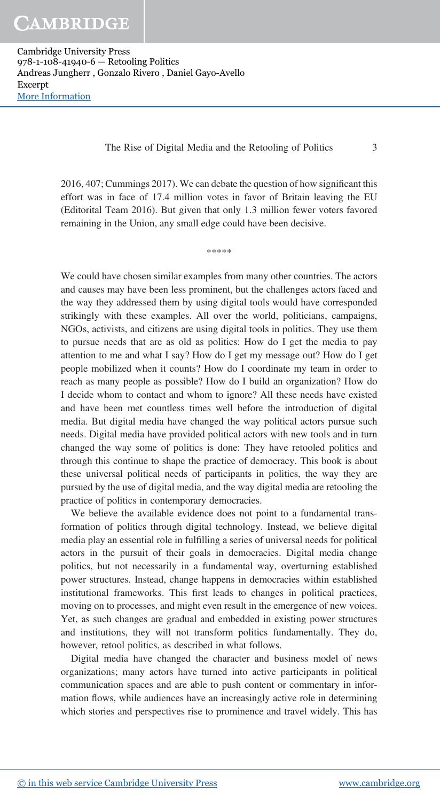The Rise of Digital Media and the Retooling of Politics 3

2016, 407; Cummings 2017). We can debate the question of how significant this effort was in face of 17.4 million votes in favor of Britain leaving the EU (Editorital Team 2016). But given that only 1.3 million fewer voters favored remaining in the Union, any small edge could have been decisive.

\*\*\*\*\*

We could have chosen similar examples from many other countries. The actors and causes may have been less prominent, but the challenges actors faced and the way they addressed them by using digital tools would have corresponded strikingly with these examples. All over the world, politicians, campaigns, NGOs, activists, and citizens are using digital tools in politics. They use them to pursue needs that are as old as politics: How do I get the media to pay attention to me and what I say? How do I get my message out? How do I get people mobilized when it counts? How do I coordinate my team in order to reach as many people as possible? How do I build an organization? How do I decide whom to contact and whom to ignore? All these needs have existed and have been met countless times well before the introduction of digital media. But digital media have changed the way political actors pursue such needs. Digital media have provided political actors with new tools and in turn changed the way some of politics is done: They have retooled politics and through this continue to shape the practice of democracy. This book is about these universal political needs of participants in politics, the way they are pursued by the use of digital media, and the way digital media are retooling the practice of politics in contemporary democracies.

We believe the available evidence does not point to a fundamental transformation of politics through digital technology. Instead, we believe digital media play an essential role in fulfilling a series of universal needs for political actors in the pursuit of their goals in democracies. Digital media change politics, but not necessarily in a fundamental way, overturning established power structures. Instead, change happens in democracies within established institutional frameworks. This first leads to changes in political practices, moving on to processes, and might even result in the emergence of new voices. Yet, as such changes are gradual and embedded in existing power structures and institutions, they will not transform politics fundamentally. They do, however, retool politics, as described in what follows.

Digital media have changed the character and business model of news organizations; many actors have turned into active participants in political communication spaces and are able to push content or commentary in information flows, while audiences have an increasingly active role in determining which stories and perspectives rise to prominence and travel widely. This has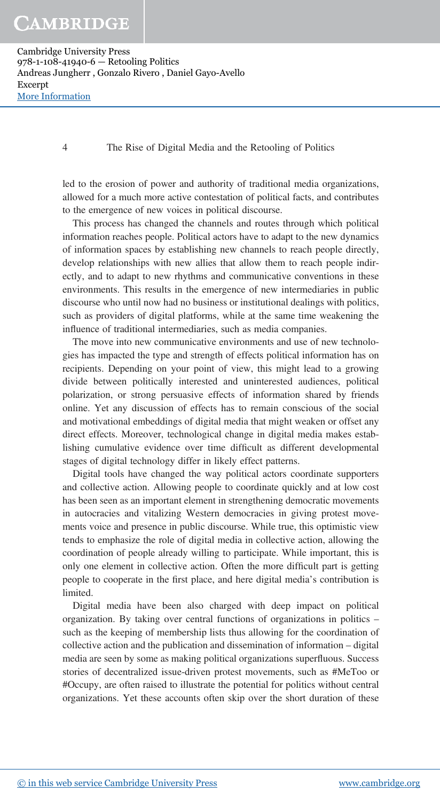4 The Rise of Digital Media and the Retooling of Politics

led to the erosion of power and authority of traditional media organizations, allowed for a much more active contestation of political facts, and contributes to the emergence of new voices in political discourse.

This process has changed the channels and routes through which political information reaches people. Political actors have to adapt to the new dynamics of information spaces by establishing new channels to reach people directly, develop relationships with new allies that allow them to reach people indirectly, and to adapt to new rhythms and communicative conventions in these environments. This results in the emergence of new intermediaries in public discourse who until now had no business or institutional dealings with politics, such as providers of digital platforms, while at the same time weakening the influence of traditional intermediaries, such as media companies.

The move into new communicative environments and use of new technologies has impacted the type and strength of effects political information has on recipients. Depending on your point of view, this might lead to a growing divide between politically interested and uninterested audiences, political polarization, or strong persuasive effects of information shared by friends online. Yet any discussion of effects has to remain conscious of the social and motivational embeddings of digital media that might weaken or offset any direct effects. Moreover, technological change in digital media makes establishing cumulative evidence over time difficult as different developmental stages of digital technology differ in likely effect patterns.

Digital tools have changed the way political actors coordinate supporters and collective action. Allowing people to coordinate quickly and at low cost has been seen as an important element in strengthening democratic movements in autocracies and vitalizing Western democracies in giving protest movements voice and presence in public discourse. While true, this optimistic view tends to emphasize the role of digital media in collective action, allowing the coordination of people already willing to participate. While important, this is only one element in collective action. Often the more difficult part is getting people to cooperate in the first place, and here digital media's contribution is limited.

Digital media have been also charged with deep impact on political organization. By taking over central functions of organizations in politics – such as the keeping of membership lists thus allowing for the coordination of collective action and the publication and dissemination of information – digital media are seen by some as making political organizations superfluous. Success stories of decentralized issue-driven protest movements, such as #MeToo or #Occupy, are often raised to illustrate the potential for politics without central organizations. Yet these accounts often skip over the short duration of these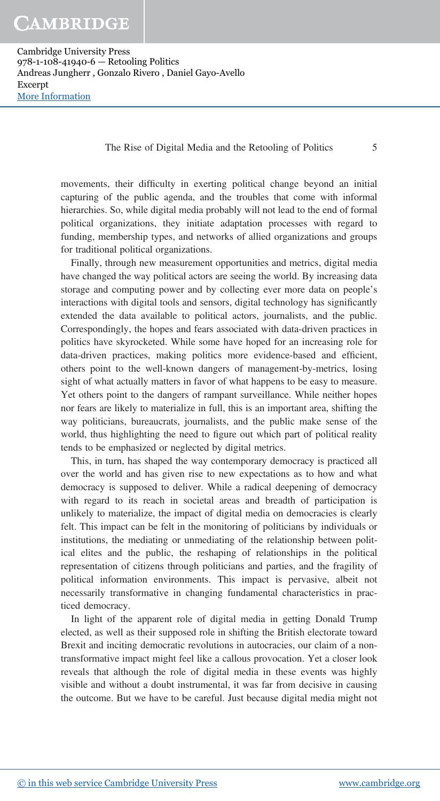The Rise of Digital Media and the Retooling of Politics 5

movements, their difficulty in exerting political change beyond an initial capturing of the public agenda, and the troubles that come with informal hierarchies. So, while digital media probably will not lead to the end of formal political organizations, they initiate adaptation processes with regard to funding, membership types, and networks of allied organizations and groups for traditional political organizations.

Finally, through new measurement opportunities and metrics, digital media have changed the way political actors are seeing the world. By increasing data storage and computing power and by collecting ever more data on people's interactions with digital tools and sensors, digital technology has significantly extended the data available to political actors, journalists, and the public. Correspondingly, the hopes and fears associated with data-driven practices in politics have skyrocketed. While some have hoped for an increasing role for data-driven practices, making politics more evidence-based and efficient, others point to the well-known dangers of management-by-metrics, losing sight of what actually matters in favor of what happens to be easy to measure. Yet others point to the dangers of rampant surveillance. While neither hopes nor fears are likely to materialize in full, this is an important area, shifting the way politicians, bureaucrats, journalists, and the public make sense of the world, thus highlighting the need to figure out which part of political reality tends to be emphasized or neglected by digital metrics.

This, in turn, has shaped the way contemporary democracy is practiced all over the world and has given rise to new expectations as to how and what democracy is supposed to deliver. While a radical deepening of democracy with regard to its reach in societal areas and breadth of participation is unlikely to materialize, the impact of digital media on democracies is clearly felt. This impact can be felt in the monitoring of politicians by individuals or institutions, the mediating or unmediating of the relationship between political elites and the public, the reshaping of relationships in the political representation of citizens through politicians and parties, and the fragility of political information environments. This impact is pervasive, albeit not necessarily transformative in changing fundamental characteristics in practiced democracy.

In light of the apparent role of digital media in getting Donald Trump elected, as well as their supposed role in shifting the British electorate toward Brexit and inciting democratic revolutions in autocracies, our claim of a nontransformative impact might feel like a callous provocation. Yet a closer look reveals that although the role of digital media in these events was highly visible and without a doubt instrumental, it was far from decisive in causing the outcome. But we have to be careful. Just because digital media might not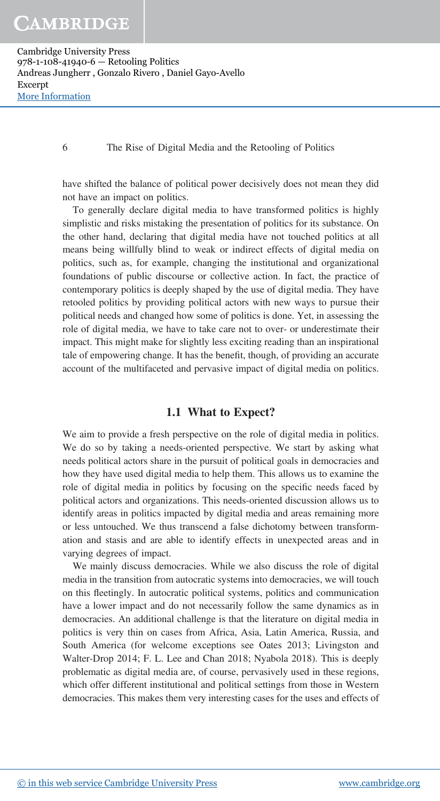6 The Rise of Digital Media and the Retooling of Politics

have shifted the balance of political power decisively does not mean they did not have an impact on politics.

To generally declare digital media to have transformed politics is highly simplistic and risks mistaking the presentation of politics for its substance. On the other hand, declaring that digital media have not touched politics at all means being willfully blind to weak or indirect effects of digital media on politics, such as, for example, changing the institutional and organizational foundations of public discourse or collective action. In fact, the practice of contemporary politics is deeply shaped by the use of digital media. They have retooled politics by providing political actors with new ways to pursue their political needs and changed how some of politics is done. Yet, in assessing the role of digital media, we have to take care not to over- or underestimate their impact. This might make for slightly less exciting reading than an inspirational tale of empowering change. It has the benefit, though, of providing an accurate account of the multifaceted and pervasive impact of digital media on politics.

## **1.1 What to Expect?**

We aim to provide a fresh perspective on the role of digital media in politics. We do so by taking a needs-oriented perspective. We start by asking what needs political actors share in the pursuit of political goals in democracies and how they have used digital media to help them. This allows us to examine the role of digital media in politics by focusing on the specific needs faced by political actors and organizations. This needs-oriented discussion allows us to identify areas in politics impacted by digital media and areas remaining more or less untouched. We thus transcend a false dichotomy between transformation and stasis and are able to identify effects in unexpected areas and in varying degrees of impact.

We mainly discuss democracies. While we also discuss the role of digital media in the transition from autocratic systems into democracies, we will touch on this fleetingly. In autocratic political systems, politics and communication have a lower impact and do not necessarily follow the same dynamics as in democracies. An additional challenge is that the literature on digital media in politics is very thin on cases from Africa, Asia, Latin America, Russia, and South America (for welcome exceptions see Oates 2013; Livingston and Walter-Drop 2014; F. L. Lee and Chan 2018; Nyabola 2018). This is deeply problematic as digital media are, of course, pervasively used in these regions, which offer different institutional and political settings from those in Western democracies. This makes them very interesting cases for the uses and effects of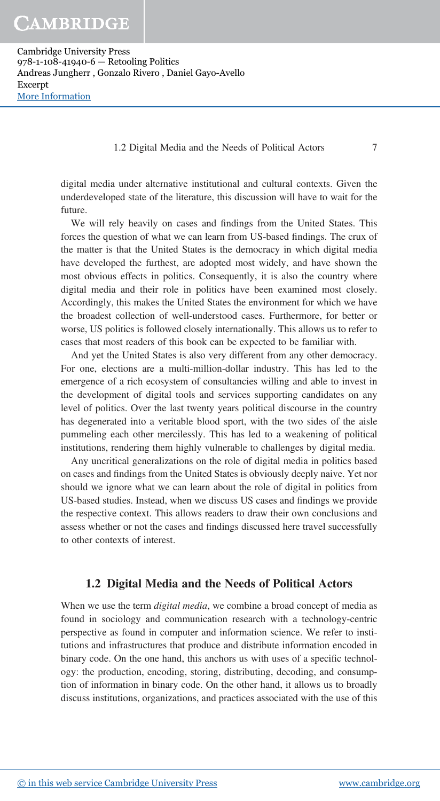1.2 Digital Media and the Needs of Political Actors 7

digital media under alternative institutional and cultural contexts. Given the underdeveloped state of the literature, this discussion will have to wait for the future.

We will rely heavily on cases and findings from the United States. This forces the question of what we can learn from US-based findings. The crux of the matter is that the United States is the democracy in which digital media have developed the furthest, are adopted most widely, and have shown the most obvious effects in politics. Consequently, it is also the country where digital media and their role in politics have been examined most closely. Accordingly, this makes the United States the environment for which we have the broadest collection of well-understood cases. Furthermore, for better or worse, US politics is followed closely internationally. This allows us to refer to cases that most readers of this book can be expected to be familiar with.

And yet the United States is also very different from any other democracy. For one, elections are a multi-million-dollar industry. This has led to the emergence of a rich ecosystem of consultancies willing and able to invest in the development of digital tools and services supporting candidates on any level of politics. Over the last twenty years political discourse in the country has degenerated into a veritable blood sport, with the two sides of the aisle pummeling each other mercilessly. This has led to a weakening of political institutions, rendering them highly vulnerable to challenges by digital media.

Any uncritical generalizations on the role of digital media in politics based on cases and findings from the United States is obviously deeply naive. Yet nor should we ignore what we can learn about the role of digital in politics from US-based studies. Instead, when we discuss US cases and findings we provide the respective context. This allows readers to draw their own conclusions and assess whether or not the cases and findings discussed here travel successfully to other contexts of interest.

## **1.2 Digital Media and the Needs of Political Actors**

When we use the term *digital media*, we combine a broad concept of media as found in sociology and communication research with a technology-centric perspective as found in computer and information science. We refer to institutions and infrastructures that produce and distribute information encoded in binary code. On the one hand, this anchors us with uses of a specific technology: the production, encoding, storing, distributing, decoding, and consumption of information in binary code. On the other hand, it allows us to broadly discuss institutions, organizations, and practices associated with the use of this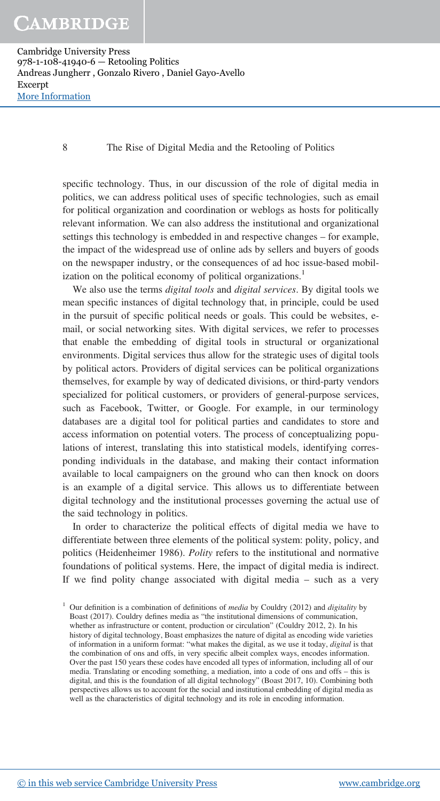8 The Rise of Digital Media and the Retooling of Politics

specific technology. Thus, in our discussion of the role of digital media in politics, we can address political uses of specific technologies, such as email for political organization and coordination or weblogs as hosts for politically relevant information. We can also address the institutional and organizational settings this technology is embedded in and respective changes – for example, the impact of the widespread use of online ads by sellers and buyers of goods on the newspaper industry, or the consequences of ad hoc issue-based mobilization on the political economy of political organizations.<sup>1</sup>

We also use the terms *digital tools* and *digital services*. By digital tools we mean specific instances of digital technology that, in principle, could be used in the pursuit of specific political needs or goals. This could be websites, email, or social networking sites. With digital services, we refer to processes that enable the embedding of digital tools in structural or organizational environments. Digital services thus allow for the strategic uses of digital tools by political actors. Providers of digital services can be political organizations themselves, for example by way of dedicated divisions, or third-party vendors specialized for political customers, or providers of general-purpose services, such as Facebook, Twitter, or Google. For example, in our terminology databases are a digital tool for political parties and candidates to store and access information on potential voters. The process of conceptualizing populations of interest, translating this into statistical models, identifying corresponding individuals in the database, and making their contact information available to local campaigners on the ground who can then knock on doors is an example of a digital service. This allows us to differentiate between digital technology and the institutional processes governing the actual use of the said technology in politics.

In order to characterize the political effects of digital media we have to differentiate between three elements of the political system: polity, policy, and politics (Heidenheimer 1986). *Polity* refers to the institutional and normative foundations of political systems. Here, the impact of digital media is indirect. If we find polity change associated with digital media – such as a very

<sup>1</sup> Our definition is a combination of definitions of *media* by Couldry (2012) and *digitality* by Boast (2017). Couldry defines media as "the institutional dimensions of communication, whether as infrastructure or content, production or circulation" (Couldry 2012, 2). In his history of digital technology, Boast emphasizes the nature of digital as encoding wide varieties of information in a uniform format: "what makes the digital, as we use it today, *digital* is that the combination of ons and offs, in very specific albeit complex ways, encodes information. Over the past 150 years these codes have encoded all types of information, including all of our media. Translating or encoding something, a mediation, into a code of ons and offs – this is digital, and this is the foundation of all digital technology" (Boast 2017, 10). Combining both perspectives allows us to account for the social and institutional embedding of digital media as well as the characteristics of digital technology and its role in encoding information.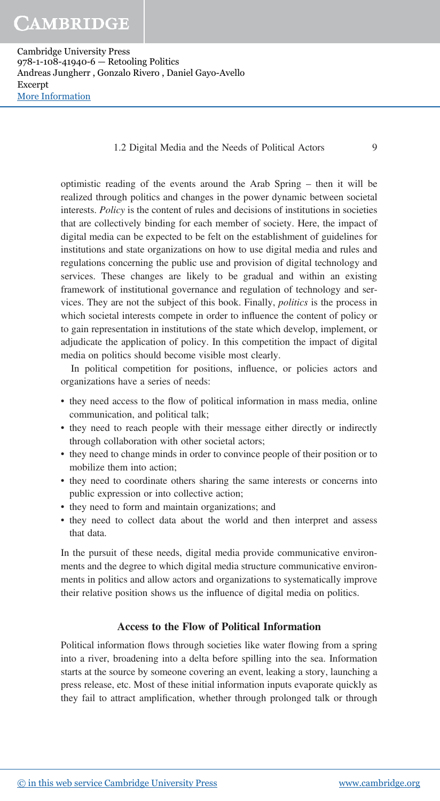1.2 Digital Media and the Needs of Political Actors 9

optimistic reading of the events around the Arab Spring – then it will be realized through politics and changes in the power dynamic between societal interests. *Policy* is the content of rules and decisions of institutions in societies that are collectively binding for each member of society. Here, the impact of digital media can be expected to be felt on the establishment of guidelines for institutions and state organizations on how to use digital media and rules and regulations concerning the public use and provision of digital technology and services. These changes are likely to be gradual and within an existing framework of institutional governance and regulation of technology and services. They are not the subject of this book. Finally, *politics* is the process in which societal interests compete in order to influence the content of policy or to gain representation in institutions of the state which develop, implement, or adjudicate the application of policy. In this competition the impact of digital media on politics should become visible most clearly.

In political competition for positions, influence, or policies actors and organizations have a series of needs:

- they need access to the flow of political information in mass media, online communication, and political talk;
- they need to reach people with their message either directly or indirectly through collaboration with other societal actors;
- they need to change minds in order to convince people of their position or to mobilize them into action;
- they need to coordinate others sharing the same interests or concerns into public expression or into collective action;
- they need to form and maintain organizations; and
- they need to collect data about the world and then interpret and assess that data.

In the pursuit of these needs, digital media provide communicative environments and the degree to which digital media structure communicative environments in politics and allow actors and organizations to systematically improve their relative position shows us the influence of digital media on politics.

## **Access to the Flow of Political Information**

Political information flows through societies like water flowing from a spring into a river, broadening into a delta before spilling into the sea. Information starts at the source by someone covering an event, leaking a story, launching a press release, etc. Most of these initial information inputs evaporate quickly as they fail to attract amplification, whether through prolonged talk or through